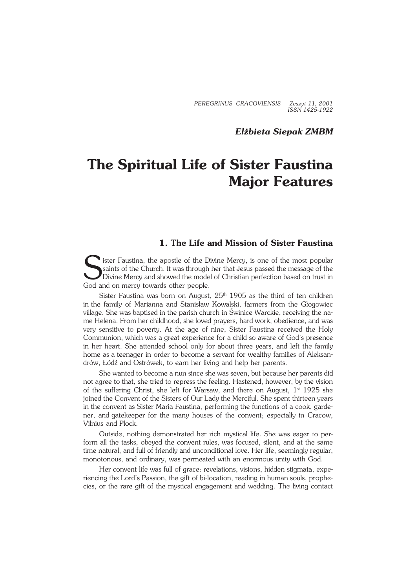*PEREGRINUS CRACOVIENSIS Zeszyt 11, 2001 ISSN 1425−1922*

*Elżbieta Siepak ZMBM*

# **The Spiritual Life of Sister Faustina Major Features**

# **1. The Life and Mission of Sister Faustina**

Sister Faustina, the apostle of the Divine Mercy, is one of the most popular<br>Saints of the Church. It was through her that Jesus passed the message of the<br>Divine Mercy and showed the model of Christian perfection based on saints of the Church. It was through her that Jesus passed the message of the Divine Mercy and showed the model of Christian perfection based on trust in God and on mercy towards other people.

Sister Faustina was born on August,  $25<sup>th</sup> 1905$  as the third of ten children in the family of Marianna and Stanisław Kowalski, farmers from the Głogowiec village. She was baptised in the parish church in Świnice Warckie, receiving the na− me Helena. From her childhood, she loved prayers, hard work, obedience, andwas very sensitive to poverty. At the age of nine, Sister Faustina received the Holy Communion, which was a great experience for a child so aware of God's presence in her heart. She attended school only for about three years, and left the family home as a teenager in order to become a servant for wealthy families of Aleksan− drów, Łódź and Ostrówek, to earn her living and help her parents.

She wanted to become a nun since she was seven, but because her parents did not agree to that, she tried to repress the feeling. Hastened, however, by the vision of the suffering Christ, she left for Warsaw, and there on August,  $1<sup>st</sup> 1925$  she joined the Convent of the Sisters of Our Lady the Merciful. She spent thirteen years in the convent as Sister Maria Faustina, performing the functions of a cook, garde− ner, andgatekeeper for the many houses of the convent; especially in Cracow, Vilnius and Płock.

Outside, nothing demonstrated her rich mystical life. She was eager to per− form all the tasks, obeyed the convent rules, was focused, silent, and at the same time natural, and full of friendly and unconditional love. Her life, seemingly regular, monotonous, and ordinary, was permeated with an enormous unity with God.

Her convent life was full of grace: revelations, visions, hidden stigmata, experiencing the Lord's Passion, the gift of bi−location, reading in human souls, prophe− cies, or the rare gift of the mystical engagement and wedding. The living contact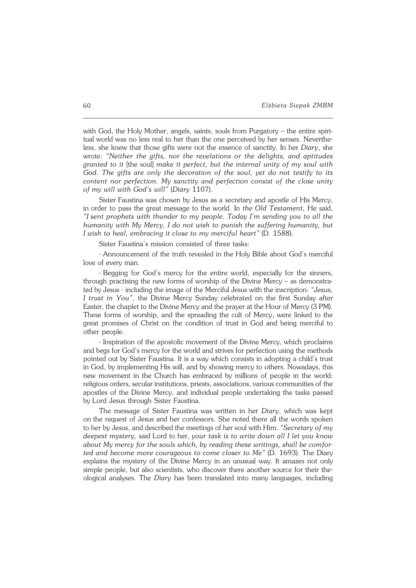with God, the Holy Mother, angels, saints, souls from Purgatory – the entire spiri− tual world was no less real to her than the one perceived by her senses. Neverthe− less, she knew that those gifts were not the essence of sanctity. In her *Diary*, she wrote: *"Neither the gifts, nor the revelations or the delights, and aptitudes granted to it* [the soul] *make it perfect, but the internal unity of my soul with God. The gifts are only the decoration of the soul, yet do not testify to its content nor perfection. My sanctity and perfection consist of the close unity ofmy will with God's will"* (*Diary* 1107).

Sister Faustina was chosen by Jesus as a secretary and apostle of His Mercy, inorder to pass the great message to the world. In *the Old Testament,* He said, *"Isent prophets with thunder to my people. Today I'm sending you to all the humanity with My Mercy. I do not wish to punish the suffering humanity, but Iwish to heal, embracing it close to my merciful heart"* (D. 1588).

Sister Faustina's mission consisted of three tasks:

− Announcement of the truth revealed in the Holy Bible about God's merciful love of every man.

− Begging for God's mercy for the entire world, especially for the sinners, through practising the new forms of worship of the Divine Mercy – as demonstra− ted by Jesus − including the image of the Merciful Jesus with the inscription: *"Jesus, I trust in You"*, the Divine Mercy Sunday celebrated on the first Sunday after Easter, the chaplet to the Divine Mercy and the prayer at the Hour of Mercy (3 PM). These forms of worship, and the spreading the cult of Mercy, were linked to the great promises of Christ on the condition of trust in God and being merciful to other people.

− Inspiration of the apostolic movement of the Divine Mercy, which proclaims and begs for God's mercy for the world and strives for perfection using the methods pointed out by Sister Faustina. It is a way which consists in adopting a child's trust inGod, by implementing His will, and by showing mercy to others. Nowadays, this new movement in the Church has embraced by millions of people in the world: religious orders, secular institutions, priests, associations, various communities of the apostles of the Divine Mercy, and individual people undertaking the tasks passed byLord Jesus through Sister Faustina.

The message of Sister Faustina was written in her *Diary*, which was kept onthe request of Jesus and her confessors. She noted there all the words spoken to her byJesus, and described the meetings of her soul with Him. *"Secretary of my deepest mystery,* said Lord to her, *your task is to write down all I let you know about My mercy for the souls which, by reading these writings, shall be comfor− ted and become more courageous to come closer to Me"* (D. 1693). The Diary explains the mystery of the Divine Mercy in an unusual way. It amazes not only simple people, but also scientists, who discover there another source for their the− ological analyses. The *Diary* has been translated into many languages, including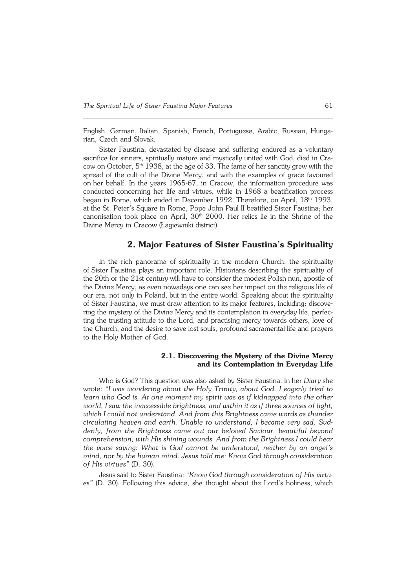English, German, Italian, Spanish, French, Portuguese, Arabic, Russian, Hunga− rian, Czech and Slovak.

Sister Faustina, devastated by disease and suffering endured as a voluntary sacrifice for sinners, spiritually mature and mystically united with God, died in Cra− cow on October,  $5<sup>th</sup>$  1938, at the age of 33. The fame of her sanctity grew with the spread of the cult of the Divine Mercy, and with the examples of grace favoured on her behalf. In the years 1965−67, in Cracow, the information procedure was conducted concerning her life and virtues, while in 1968 a beatification process began in Rome, which ended in December 1992. Therefore, on April, 18<sup>th</sup> 1993, atthe St. Peter's Square in Rome, Pope John Paul II beatified Sister Faustina; her canonisation took place on April,  $30<sup>th</sup> 2000$ . Her relics lie in the Shrine of the Divine Mercy in Cracow (Łagiewniki district).

### **2. Major Features of Sister Faustina's Spirituality**

In the rich panorama of spirituality in the modern Church, the spirituality of Sister Faustina plays an important role. Historians describing the spirituality of the 20th or the 21st century will have to consider the modest Polish nun, apostle of the Divine Mercy, as even nowadays one can see her impact on the religious life of our era, not only in Poland, but in the entire world. Speaking about the spirituality of Sister Faustina, we must draw attention to its major features, including: discove− ring the mystery of the Divine Mercy and its contemplation in everyday life, perfecting the trusting attitude to the Lord, and practising mercy towards others, love of the Church, and the desire to save lost souls, profound sacramental life and prayers to the Holy Mother of God.

### **2.1. Discovering the Mystery of the Divine Mercy and its Contemplation in Everyday Life**

Who is God? This question was also asked by Sister Faustina. In her *Diary* she wrote: *"I was wondering about the Holy Trinity, about God. I eagerly tried to learn who God is. At one moment my spirit was as if kidnapped into the other world, I saw the inaccessible brightness, and within it as if three sources of light, which I could not understand. And from this Brightness came words as thunder circulating heaven and earth. Unable to understand, I became very sad. Sud− denly, from the Brightness came out our beloved Saviour, beautiful beyond comprehension, with His shining wounds. And from the Brightness I could hear the voice saying: What is God cannot be understood, neither by an angel's mind, nor by the human mind. Jesus told me: Know God through consideration of His virtues"* (D. 30).

Jesus said to Sister Faustina: *"Know God through consideration of His virtu− es"* (D. 30). Following this advice, she thought about the Lord's holiness, which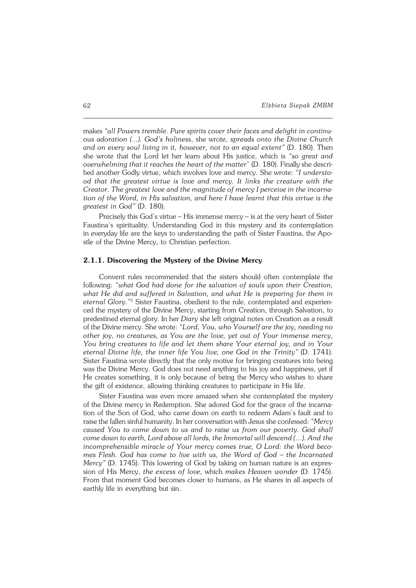makes *"all Powers tremble*. *Pure spirits cover their faces and delight in continu− ous adoration (...). God's holiness*, she wrote, *spreads onto the Divine Church and on every soul living in it, however, not to an equal extent"* (D. 180). Then she wrote that the Lord let her learn about His justice, which is *"so great and overwhelming that it reaches the heart of the matter*" (D. 180). Finally she descri− bed another Godly virtue, which involves love and mercy. She wrote: *"I understo− od that the greatest virtue is love and mercy. It links the creature with the Creator. The greatest love and the magnitude of mercy I perceive in the incarna− tion of the Word, in His salvation, and here I have learnt that this virtue is the greatest inGod"* (D. 180).

Precisely this God's virtue – His immense mercy – is at the very heart of Sister Faustina's spirituality. Understanding God in this mystery and its contemplation in everyday life are the keys to understanding the path of Sister Faustina, the Apostle of the Divine Mercy, to Christian perfection.

### **2.1.1. Discovering the Mystery of the Divine Mercy**

Convent rules recommended that the sisters should often contemplate the following: *"what God had done for the salvation of souls upon their Creation, what He did and suffered in Salvation, and what He is preparing for them in* eternal Glory.<sup>"1</sup> Sister Faustina, obedient to the rule, contemplated and experien− ced the mystery of the Divine Mercy, starting from Creation, through Salvation, to predestined eternal glory. In her *Diary* she left original notes on Creation as a result of the Divine mercy. She wrote: *"Lord, You, who Yourself are the joy, needing no other joy, no creatures, as You are the love, yet out of Your immense mercy, You bring creatures to life and let them share Your eternal joy, and in Your eternal Divine life, the inner life You live, one God in the Trinity"* (D. 1741). Sister Faustina wrote directly that the only motive for bringing creatures into being was the Divine Mercy. God does not need anything to his joy and happiness, yet if He creates something, it is only because of being the Mercy who wishes to share the gift of existence, allowing thinking creatures to participate in His life.

Sister Faustina was even more amazed when she contemplated the mystery of the Divine mercy in Redemption. She adored God for the grace of the incarnation of the Son of God, who came down on earth to redeem Adam's fault and to raise the fallen sinful humanity. In her conversation with Jesus she confessed: *"Mercy caused You to come down to us and to raise us from our poverty. God shall come down to earth, Lord above all lords, the Immortal will descend (...). And the incomprehensible miracle of Your mercy comes true, O Lord: the Word beco− mes Flesh. God has come to live with us, the Word of God – the Incarnated Mercy"* (D.1745). This lowering of God by taking on human nature is an expres− sion of His Mercy, *the excess of love*, which *makes Heaven wonder* (D. 1745). From that moment God becomes closer to humans, as He shares in all aspects of earthly life in everything but sin.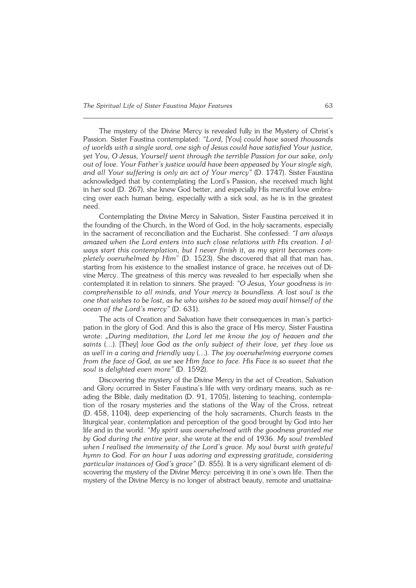The mystery of the Divine Mercy is revealed fully in the Mystery of Christ's Passion. Sister Faustina contemplated: *"Lord,* [You] *could have saved thousands ofworlds with a single word, one sigh of Jesus could have satisfied Your justice, yet You, O Jesus, Yourself went through the terrible Passion for our sake, only out of love. Your Father's justice would have been appeased by Your single sigh, and all Your suffering is only an act of Your mercy"* (D. 1747). Sister Faustina acknowledged that by contemplating the Lord's Passion, she received much light in her soul (D. 267), she knew God better, and especially His merciful love embra− cing over each human being, especially with a sick soul, as he is in the greatest need.

Contemplating the Divine Mercy in Salvation, Sister Faustina perceived it in the founding of the Church, in the Word of God, in the holy sacraments, especially in the sacrament of reconciliation and the Eucharist. She confessed: *"I am always amazed when the Lord enters into such close relations with His creation. Ial− ways start this contemplation, but I never finish it, as my spirit becomes com− pletely overwhelmed by Him*" (D. 1523). She discovered that all that man has, starting from his existence to the smallest instance of grace, he receives out of Divine Mercy. The greatness of this mercy was revealed to her especially when she contemplated it in relation to sinners. She prayed: *"O Jesus, Your goodness isin− comprehensible to all minds, and Your mercy is boundless. A lost soul is the one that wishes to be lost, as he who wishes to be saved may avail himself of the ocean of the Lord's mercy"* (D. 631).

The acts of Creation and Salvation have their consequences in man's partici− pation in the glory of God. And this is also the grace of His mercy. Sister Faustina wrote: *"During meditation, the Lord let me know the joy of heaven and the saints* (…). [They] *love God as the only subject of their love, yet they love us aswell in a caring and friendly way* (…). *The joy overwhelming everyone comes from the face of God, as we see Him face to face. His Face is so sweet that the soul is delighted even more"* (D. 1592).

Discovering the mystery of the Divine Mercy in the act of Creation, Salvation and Glory occurred in Sister Faustina's life with very ordinary means, such as re− ading the Bible, daily meditation (D. 91, 1705), listening to teaching, contempla− tion of the rosary mysteries and the stations of the Way of the Cross, retreat (D.458,1104), deep experiencing of the holy sacraments, Church feasts in the liturgical year, contemplation and perception of the good brought by God into her life and in the world. *"My spirit was overwhelmed with the goodness granted me by God during the entire year*, she wrote at the end of 1936. *My soul trembled* when I realised the immensity of the Lord's grace. My soul burst with grateful hymn to God. For an hour I was adoring and expressing gratitude, considering *particular instances of God's grace"* (D. 855). It is a very significant element of di− scovering the mystery of the Divine Mercy: perceiving it in one's own life. Then the mystery of the Divine Mercy is no longer of abstract beauty, remote and unattaina−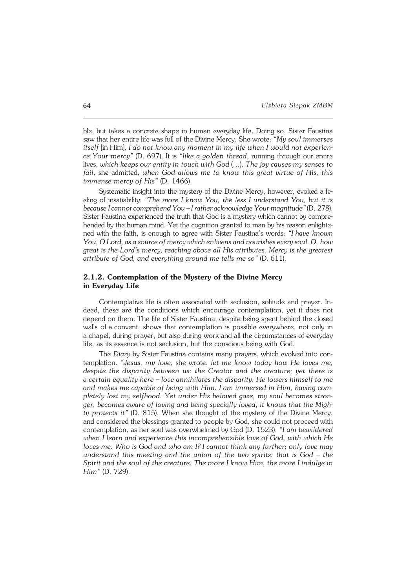ble, but takes a concrete shape in human everyday life. Doing so, Sister Faustina saw that her entire life was full of the Divine Mercy. She wrote: *"My soul immerses itself* [in Him], *I do not know any moment in my life when I would not experien− ce Your mercy"* (D. 697). It is *"like a golden thread*, running through our entire lives, *which keeps our entity intouch with God* (…). *The joy causes my senses to fail*, she admitted, *when God allows me to know this great virtue of His, this immense mercy of His"* (D. 1466).

Systematic insight into the mystery of the Divine Mercy, however, evoked a feeling of insatiability: *"The more I know You, the less I understand You, but it is because I cannot comprehend You – I rather acknowledge Your magnitude"* (D.278). Sister Faustina experienced the truth that God is a mystery which cannot by compre− hended by the human mind. Yet the cognition granted to man by his reason enlightened with the faith, is enough to agree with Sister Faustina's words: *"Ihave known You, O Lord, as a source of mercy which enlivens and nourishes every soul. O,how great is the Lord's mercy, reaching above all His attributes. Mercy is the greatest attribute of God, and everything around me tells me so"* (D.611).

### **2.1.2. Contemplation of the Mystery of the Divine Mercy in Everyday Life**

Contemplative life is often associated with seclusion, solitude and prayer. In− deed, these are the conditions which encourage contemplation, yet it does not depend on them. The life of Sister Faustina, despite being spent behind the closed walls of a convent, shows that contemplation is possible everywhere, not only in achapel, during prayer, but also during work and all the circumstances of everyday life, as its essence is not seclusion, but the conscious being with God.

The *Diary* by Sister Faustina contains many prayers, which evolved into con− templation. *"Jesus, my love,* she wrote, *let me know today how He loves me, despite the disparity between us: the Creator and the creature; yet there is acertain equality here – love annihilates the disparity. He lowers himself to me and makes me capable of being with Him. I am immersed in Him, having com− pletely lost my selfhood. Yet under His beloved gaze, my soul becomes stron− ger, becomes aware of loving and being specially loved, it knows that the Migh− ty protects it"* (D. 815). When she thought of the mystery of the Divine Mercy, and considered the blessings granted to people by God, she could not proceed with contemplation, as her soul was overwhelmed by God (D. 1523). *"I am bewildered* when I learn and experience this incomprehensible love of God, with which He *loves me. Who is God and who am I? I cannot think any further; only love may understand this meeting and the union of the two spirits: that is God – the* Spirit and the soul of the creature. The more I know Him, the more I indulge in *Him"* (D. 729).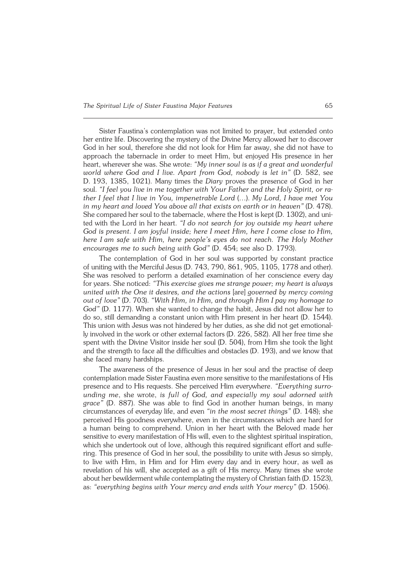Sister Faustina's contemplation was not limited to prayer, but extended onto her entire life. Discovering the mystery of the Divine Mercy allowed her to discover God in her soul, therefore she did not look for Him far away, she did not have to approach the tabernacle in order to meet Him, but enjoyed His presence in her heart, wherever she was. She wrote: *"My inner soul is as if a great and wonderful world where God and I live. Apart from God, nobody is let in"* (D. 582, see D.193, 1385, 1021). Many times the *Diary* proves the presence of God in her soul. *"I feel you live in me together with Your Father and the Holy Spirit, orra− ther I feel that I live in You, impenetrable Lord* (…). *My Lord, I have met You inmy heart and loved You above all that exists on earth or in heaven"* (D. 478). She compared her soul to the tabernacle, where the Host is kept (D. 1302), and uni− ted with the Lord in her heart. *"I do not search for joy outside my heart where God is present. I am joyful inside; here I meet Him, here I come close to Him, here Iam safe with Him, here people's eyes do not reach. The Holy Mother encourages me to such being with God"* (D. 454; see also D. 1793).

The contemplation of God in her soul was supported by constant practice of uniting with the Merciful Jesus (D. 743, 790, 861, 905, 1105, 1778 and other). Shewas resolved to perform a detailed examination of her conscience every day for years. She noticed: *"This exercise gives me strange power; my heart is always united with the One it desires, and the actions* [are] *governed by mercy coming out oflove"* (D. 703). *"With Him, in Him, and through Him I pay my homage to God"* (D. 1177). When she wanted to change the habit, Jesus did not allow her to do so, still demanding a constant union with Him present in her heart (D. 1544). This union with Jesus was not hindered by her duties, as she did not get emotional− ly involved in the work or other external factors (D. 226, 582). All her free time she spent with the Divine Visitor inside her soul (D. 504), from Him she took the light and the strength to face all the difficulties and obstacles (D. 193), and we know that she faced many hardships.

The awareness of the presence of Jesus in her soul and the practise of deep contemplation made Sister Faustina even more sensitive to the manifestations of His presence and to His requests. She perceived Him everywhere. *"Everything surro− unding me*, she wrote, *is full of God, and especially my soul adorned with grace"* (D. 887). She was able to find God in another human beings, in many circumstances of everyday life, and even *"in the most secret things"* (D. 148); she perceived His goodness everywhere, even in the circumstances which are hard for a human being to comprehend. Union in her heart with the Beloved made her sensitive to every manifestation of His will, even to the slightest spiritual inspiration, which she undertook out of love, although this required significant effort and suffe− ring. This presence of God in her soul, the possibility to unite with Jesus so simply, to live with Him, in Him and for Him every day and in every hour, as well as revelation of his will, she accepted as a gift of His mercy. Many times she wrote about her bewilderment while contemplating the mystery of Christian faith (D. 1523), as: *"everything begins with Your mercy and ends with Your mercy"* (D. 1506).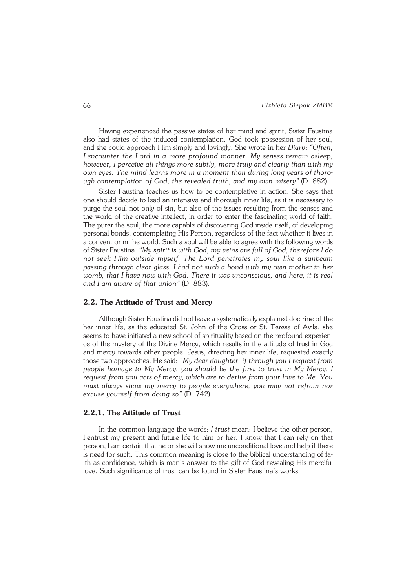Having experienced the passive states of her mind and spirit, Sister Faustina also had states of the induced contemplation. God took possession of her soul, and she could approach Him simply and lovingly. She wrote in her *Diary*: "Often, *Iencounter the Lord in a more profound manner. My senses remain asleep, however, I perceive all things more subtly, more truly and clearly than with my own eyes. The mind learns more in a moment than during long years of thoro− ugh contemplation of God, the revealed truth, and my own misery"* (D. 882).

Sister Faustina teaches us how to be contemplative in action. She says that one should decide to lead an intensive and thorough inner life, as it is necessary to purge the soul not only of sin, but also of the issues resulting from the senses and the world of the creative intellect, in order to enter the fascinating world of faith. The purer the soul, the more capable of discovering God inside itself, of developing personal bonds, contemplating His Person, regardless of the fact whether it lives in a convent or in the world. Such a soul will be able to agree with the following words of Sister Faustina: *"My spirit is with God, my veins are full of God, therefore I do not seek Him outside myself. The Lord penetrates my soul like a sunbeam passing through clear glass. I had not such a bond with my own mother in her womb, that I have now with God. There it was unconscious, and here, it is real* and I am aware of that union" (D. 883).

### **2.2. The Attitude of Trust and Mercy**

Although Sister Faustina did not leave a systematically explained doctrine of the her inner life, as the educated St. John of the Cross or St. Teresa of Avila, she seems to have initiated a new school of spirituality based on the profound experien− ce of the mystery of the Divine Mercy, which results in the attitude of trust in God and mercy towards other people. Jesus, directing her inner life, requested exactly those two approaches. He said: *"My dear daughter, if through you I request from people homage to My Mercy, you should be the first to trust in My Mercy. I request from you acts of mercy, which are to derive from your love to Me. You must always show my mercy to people everywhere, you may not refrain nor excuse yourself from doing so"* (D. 742).

### **2.2.1. The Attitude of Trust**

In the common language the words: *I trust* mean: I believe the other person, Ientrust my present and future life to him or her, I know that I can rely on that person, I am certain that he or she will show me unconditional love and help if there is need for such. This common meaning is close to the biblical understanding of fa− ith as confidence, which is man's answer to the gift of God revealing His merciful love. Such significance of trust can be found in Sister Faustina's works.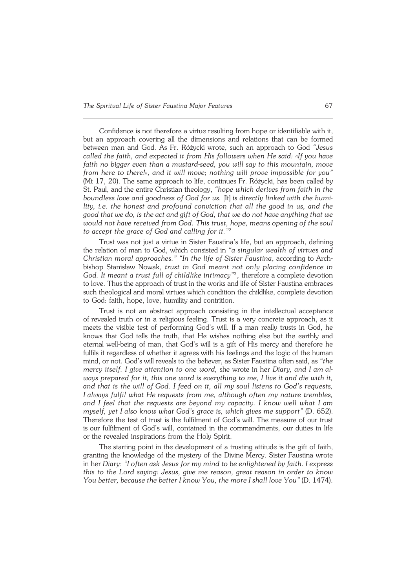Confidence is not therefore a virtue resulting from hope or identifiable with it, but an approach covering all the dimensions and relations that can be formed between man and God. As Fr. Różycki wrote, such an approach to God *"Jesus called the faith, and expected it from His followers when He said: «If you have faith no bigger even than a mustard−seed, you will say to this mountain, move from here to there!», and it will move; nothing will prove impossible for you"* (Mt 17, 20). The same approach to life, continues Fr. Różycki, has been called by St. Paul, and the entire Christian theology, "hope which derives from faith in the *boundless love and goodness of God for us.* [It] *is directly linked with the humility, i.e. the honest and profound conviction that all the good in us, and the good that we do, is the act and gift of God, that we do not have anything that we would not have received from God. This trust, hope, means opening of the soul to accept the grace of God and calling for it."*<sup>2</sup>

Trust was not just a virtue in Sister Faustina's life, but an approach, defining the relation of man to God, which consisted in *"a singular wealth of virtues and Christian moral approaches." "In the life of Sister Faustina*, according to Arch− bishop Stanisław Nowak, *trust in God meant not only placing confidence in* God. It meant a trust full of childlike intimacy"<sup>3</sup>, therefore a complete devotion to love. Thus the approach of trust in the works and life of Sister Faustina embraces such theological and moral virtues which condition the childlike, complete devotion to God: faith, hope, love, humility and contrition.

Trust is not an abstract approach consisting in the intellectual acceptance ofrevealed truth or in a religious feeling. Trust is a very concrete approach, as it meets the visible test of performing God's will. If a man really trusts in God, he knows that God tells the truth, that He wishes nothing else but the earthly and eternal well−being of man, that God's will is a gift of His mercy and therefore he fulfils it regardless of whether it agrees with his feelings and the logic of the human mind, or not. God's will reveals to the believer, as Sister Faustina often said, as *"the mercy itself. I give attention to one word,* she wrote in her *Diary, and I amal− ways prepared for it, this one word is everything to me, I live it and die with it, and that is the will ofGod. I feed on it, all my soul listens to God's requests, Ialways fulfil what Herequests from me, although often my nature trembles, and I feel that the requests are beyond my capacity. I know well what I am myself, yet I also know what God's grace is, which gives me support"* (D. 652). Therefore the test of trust is the fulfilment of God's will. The measure of our trust is our fulfilment of God's will, contained in the commandments, our duties in life or the revealed inspirations from the Holy Spirit.

The starting point in the development of a trusting attitude is the gift of faith, granting the knowledge of the mystery of the Divine Mercy. Sister Faustina wrote inher *Diary*: *"I often ask Jesus for my mind to be enlightened by faith. I express this to the Lord saying: Jesus, give me reason, great reason in order to know You better, because the better I know You, the more I shall love You"* (D. 1474).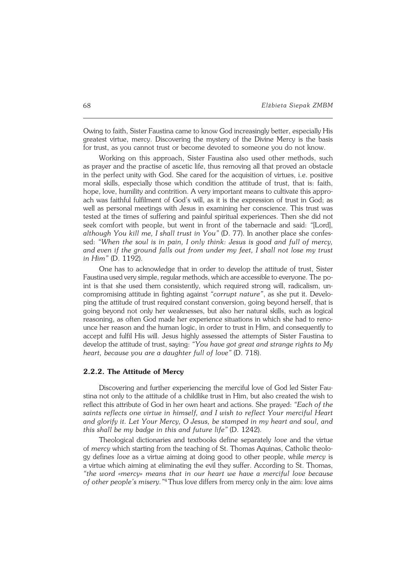Owing to faith, Sister Faustina came to know God increasingly better, especially His greatest virtue, mercy. Discovering the mystery of the Divine Mercy is the basis for trust, as you cannot trust or become devoted to someone you do not know.

Working on this approach, Sister Faustina also used other methods, such as prayer and the practise of ascetic life, thus removing all that proved an obstacle in the perfect unity with God. She cared for the acquisition of virtues, i.e. positive moral skills, especially those which condition the attitude of trust, that is: faith, hope, love, humility and contrition. A very important means to cultivate this appro− ach was faithful fulfilment of God's will, as it is the expression of trust in God; as well as personal meetings with Jesus in examining her conscience. This trust was tested at the times of suffering and painful spiritual experiences. Then she did not seek comfort with people, but went in front of the tabernacle and said: *"*[Lord], *although You kill me, I shall trust in You"* (D. 77). In another place she confes− sed: *"When the soul is in pain, I only think: Jesus is good and full of mercy,* and even if the ground falls out from under my feet. I shall not lose my trust *inHim"* (D. 1192).

One has to acknowledge that in order to develop the attitude of trust, Sister Faustina used very simple, regular methods, which are accessible to everyone. The po− int is that she used them consistently, which required strong will, radicalism, un− compromising attitude in fighting against *"corrupt nature"*, as she put it. Develo− ping the attitude of trust required constant conversion, going beyond herself, that is going beyond not only her weaknesses, but also her natural skills, such as logical reasoning, as often God made her experience situations in which she had to reno− unce her reason and the human logic, in order to trust in Him, and consequently to accept and fulfil His will. Jesus highly assessed the attempts of Sister Faustina to develop the attitude of trust, saying: *"You have got great and strange rights to My heart, because you are a daughter full of love"* (D. 718).

### **2.2.2. The Attitude of Mercy**

Discovering and further experiencing the merciful love of God led Sister Fau− stina not only to the attitude of a childlike trust in Him, but also created the wish to reflect this attribute of God in her own heart and actions. She prayed: *"Each of the saints reflects one virtue in himself, and I wish to reflect Your merciful Heart and glorify it. Let Your Mercy, O Jesus, be stamped in my heart and soul, and this shall be my badge in this and future life"* (D. 1242).

Theological dictionaries and textbooks define separately *love* and the virtue of*mercy* which starting from the teaching of St. Thomas Aquinas, Catholic theolo− gy defines *love* as a virtue aiming at doing good to other people, while *mercy* is a virtue which aiming at eliminating the evil they suffer. According to St. Thomas, *"the word «mercy» means that in our heart we have a merciful love because* of other people's misery."<sup>4</sup>Thus love differs from mercy only in the aim: love aims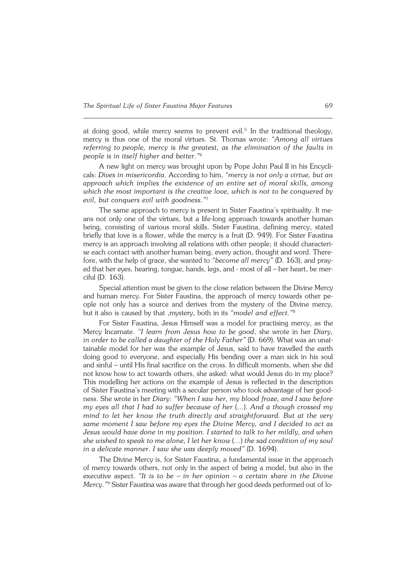at doing good, while mercy seems to prevent evil.<sup>5</sup> In the traditional theology, mercy is thus one of the moral virtues. St. Thomas wrote: *"Among all virtues* referring to people, mercy is the greatest, as the elimination of the faults in *people isinitself higher and better."*<sup>6</sup>

A new light on mercy was brought upon by Pope John Paul II in his Encycli− cals: *Dives in misericordia*. According to him, *"mercy is not only a virtue, but an approach which implies the existence of an entire set of moral skills, among which the most important is the creative love, which is not to be conquered by evil, but conquers evil with goodness."*<sup>7</sup>

The same approach to mercy is present in Sister Faustina's spirituality. It means not only one of the virtues, but a life−long approach towards another human being, consisting of various moral skills. Sister Faustina, defining mercy, stated briefly that love is a flower, while the mercy is a fruit (D. 949). For Sister Faustina mercy is an approach involving all relations with other people; it should characteri− se each contact with another human being, every action, thought and word. Therefore, with the help of grace, she wanted to "become all mercy" (D. 163), and pray− ed that her eyes, hearing, tongue, hands, legs, and − most of all – her heart, be mer− ciful (D. 163).

Special attention must be given to the close relation between the Divine Mercy and human mercy. For Sister Faustina, the approach of mercy towards other pe− ople not only has a source and derives from the mystery of the Divine mercy, but it also is caused by that ,mystery, both in its "model and effect."<sup>8</sup>

For Sister Faustina, Jesus Himself was a model for practising mercy, as the Mercy Incarnate. *"I learn from Jesus how to be good*, she wrote in her *Diary,* in order to be called a daughter of the Holy Father" (D. 669). What was an unattainable model for her was the example of Jesus, said to have travelled the earth doing good to everyone, and especially His bending over a man sick in his soul and sinful – until His final sacrifice on the cross. In difficult moments, when she did not know how to act towards others, she asked: what would Jesus do in my place? This modelling her actions on the example of Jesus is reflected in the description of Sister Faustina's meeting with a secular person who took advantage of her goodness. She wrote in her *Diary*: *"When I saw her, my blood froze, and I saw before my eyes all that I had to suffer because of her* (…). *And a though crossed my mind to let her know the truth directly and straightforward. But at the very same moment I saw before my eyes the Divine Mercy, and I decided to act as Jesus would have done in my position. I started to talk to her mildly, and when she wished to speak to me alone, I let her know* (…) *the sad condition of my soul in a delicate manner. I saw she was deeply moved"* (D. 1694).

The Divine Mercy is, for Sister Faustina, a fundamental issue in the approach of mercy towards others, not only in the aspect of being a model, but also in the executive aspect. *"It is to be – in her opinion – a certain share in the Divine Mercy."*9 Sister Faustina was aware that through her good deeds performed out of lo−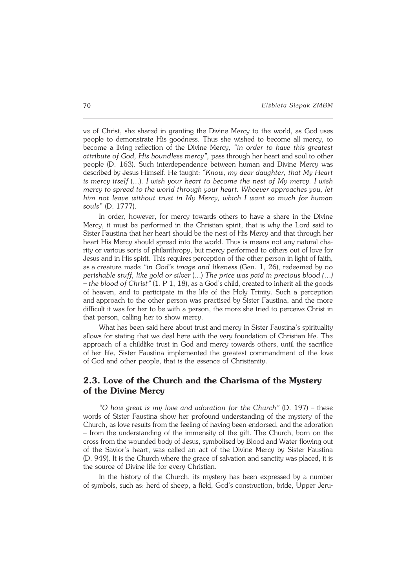ve of Christ, she shared in granting the Divine Mercy to the world, as God uses people to demonstrate His goodness. Thus she wished to become all mercy, to become a living reflection of the Divine Mercy, *"in order to have this greatest attribute of God, His boundless mercy",* pass through her heart and soul to other people (D. 163). Such interdependence between human and Divine Mercy was described by Jesus Himself. He taught: *"Know, my dear daughter, that My Heart is mercy itself* (…). *I wish your heart to become the nest of My mercy. I wish mercy to spread to the world through your heart. Whoever approaches you, let him not leave without trust in My Mercy, which I want so much for human souls"* (D.1777).

In order, however, for mercy towards others to have a share in the Divine Mercy, it must be performed in the Christian spirit, that is why the Lord said to Sister Faustina that her heart should be the nest of His Mercy and that through her heart His Mercy should spread into the world. Thus is means not any natural charity or various sorts of philanthropy, but mercy performed to others out of love for Jesus and in His spirit. This requires perception of the other person in light of faith, asacreature made *"in God's image and likeness* (Gen. 1, 26), redeemed by *no perishable stuff, like gold or silver* (…) *The price was paid in precious blood (…) – the blood of Christ"* (1. P 1, 18), as a God's child, created to inherit all the goods of heaven, and to participate in the life of the Holy Trinity. Such a perception and approach to the other person was practised by Sister Faustina, and the more difficult it was for her to be with a person, the more she tried to perceive Christ in that person, calling her to show mercy.

What has been said here about trust and mercy in Sister Faustina's spirituality allows for stating that we deal here with the very foundation of Christian life. The approach of a childlike trust in God and mercy towards others, until the sacrifice ofher life, Sister Faustina implemented the greatest commandment of the love of God and other people, that is the essence of Christianity.

# **2.3. Love of the Church and the Charisma of the Mystery of the Divine Mercy**

*"O how great is my love and adoration for the Church"* (D. 197) – these words of Sister Faustina show her profound understanding of the mystery of the Church, as love results from the feeling of having been endorsed, and the adoration – from the understanding of the immensity of the gift. The Church, born on the cross from the wounded body of Jesus, symbolised by Blood and Water flowing out of the Savior's heart, was called an act of the Divine Mercy by Sister Faustina (D.949). It is the Church where the grace of salvation and sanctity was placed, it is the source of Divine life for every Christian.

In the history of the Church, its mystery has been expressed by a number ofsymbols, such as: herd of sheep, a field, God's construction, bride, Upper Jeru−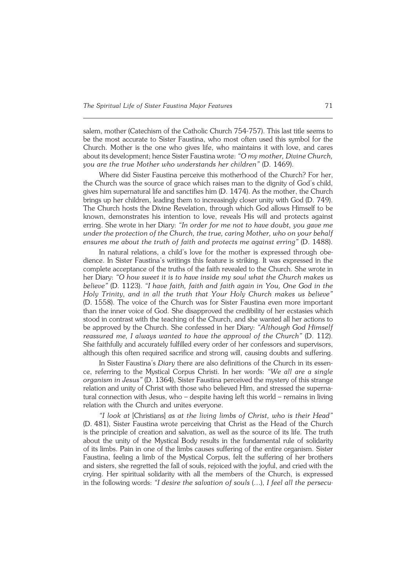salem, mother (Catechism of the Catholic Church 754−757). This last title seems to be the most accurate to Sister Faustina, who most often used this symbol for the Church. Mother is the one who gives life, who maintains it with love, and cares about its development; hence Sister Faustina wrote: *"O my mother, Divine Church, you are the true Mother who understands her children"* (D. 1469).

Where did Sister Faustina perceive this motherhood of the Church? For her, the Church was the source of grace which raises man to the dignity of God's child, gives him supernatural life and sanctifies him (D. 1474). As the mother, the Church brings up her children, leading them to increasingly closer unity with God (D. 749). The Church hosts the Divine Revelation, through which God allows Himself to be known, demonstrates his intention to love, reveals His will and protects against erring. She wrote in her Diary: *"In order for me not to have doubt, you gave me under the protection of the Church, the true, caring Mother, who on your behalf ensures me about the truth of faith and protects me against erring"* (D. 1488).

In natural relations, a child's love for the mother is expressed through obe− dience. In Sister Faustina's writings this feature is striking. It was expressed in the complete acceptance of the truths of the faith revealed to the Church. She wrote in her Diary: *"O how sweet it is to have inside my soul what the Church makes us believe"* (D. 1123). *"I have faith, faith and faith again in You, One God in the Holy Trinity, and in all the truth that Your Holy Church makes us believe"* (D.1558). The voice of the Church was for Sister Faustina even more important than the inner voice of God. She disapproved the credibility of her ecstasies which stood in contrast with the teaching of the Church, and she wanted all her actions to be approved by the Church. She confessed in her Diary: *"Although God Himself reassured me, I always wanted to have the approval of the Church"* (D. 112). She faithfully and accurately fulfilled every order of her confessors and supervisors, although this often required sacrifice and strong will, causing doubts and suffering.

In Sister Faustina's *Diary* there are also definitions of the Church in its essen− ce, referring to the Mystical Corpus Christi. In her words: *"We all are a single organism in Jesus"* (D. 1364), Sister Faustina perceived the mystery of this strange relation and unity of Christ with those who believed Him, and stressed the superna− tural connection with Jesus, who – despite having left this world – remains in living relation with the Church and unites everyone.

*"I look at* [Christians] *as at the living limbs of Christ, who is their Head"* (D.481), Sister Faustina wrote perceiving that Christ as the Head of the Church isthe principle of creation and salvation, as well as the source of its life. The truth about the unity of the Mystical Body results in the fundamental rule of solidarity ofits limbs. Pain in one of the limbs causes suffering of the entire organism. Sister Faustina, feeling a limb of the Mystical Corpus, felt the suffering of her brothers and sisters, she regretted the fall of souls, rejoiced with the joyful, and cried with the crying. Her spiritual solidarity with all the members of the Church, is expressed inthe following words: *"I desire the salvation of souls* (…), *I feel all the persecu−*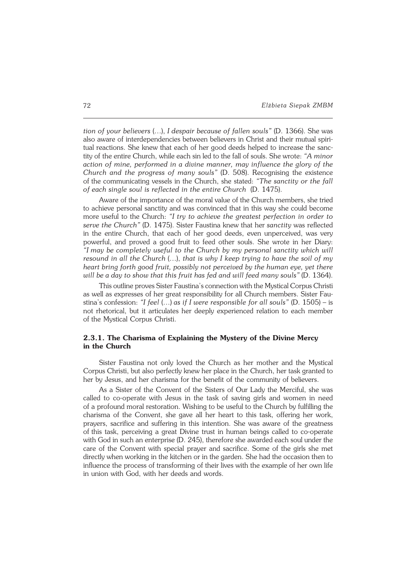*tion of your believers* (…), *I despair because of fallen souls"* (D. 1366). She was also aware of interdependencies between believers in Christ and their mutual spiri− tual reactions. She knew that each of her good deeds helped to increase the sanc− tity of the entire Church, while each sin led to the fall of souls. She wrote: *"A minor action of mine, performed in a divine manner, may influence the glory of the Church and the progress of many souls"* (D. 508). Recognising the existence ofthe communicating vessels in the Church, she stated: *"The sanctity or the fall of each single soul is reflected in the entire Church* (D. 1475).

Aware of the importance of the moral value of the Church members, she tried to achieve personal sanctity and was convinced that in this way she could become more useful to the Church: *"I try to achieve the greatest perfection in order to serve the Church"* (D. 1475). Sister Faustina knew that her *sanctity* was reflected in the entire Church, that each of her good deeds, even unperceived, was very powerful, and proved a good fruit to feed other souls. She wrote in her Diary: *"Imay be completely useful to the Church by my personal sanctity which will resound in all the Church* (…), *that is why I keep trying to have the soil of my heart bring forth good fruit, possibly not perceived by the human eye, yet there will be a day to show that this fruit has fed and will feed many souls"* (D. 1364).

This outline proves Sister Faustina's connection with the Mystical Corpus Christi as well as expresses of her great responsibility for all Church members. Sister Fau− stina's confession: *"I feel* (…) *as if I were responsible for all souls"* (D. 1505) – is not rhetorical, but it articulates her deeply experienced relation to each member of the Mystical Corpus Christi.

### **2.3.1. The Charisma of Explaining the Mystery of the Divine Mercy in the Church**

Sister Faustina not only loved the Church as her mother and the Mystical Corpus Christi, but also perfectly knew her place in the Church, her task granted to her by Jesus, and her charisma for the benefit of the community of believers.

As a Sister of the Convent of the Sisters of Our Lady the Merciful, she was called to co−operate with Jesus in the task of saving girls and women in need of a profound moral restoration. Wishing to be useful to the Church by fulfilling the charisma of the Convent, she gave all her heart to this task, offering her work, prayers, sacrifice and suffering in this intention. She was aware of the greatness ofthis task, perceiving a great Divine trust in human beings called to co−operate with God in such an enterprise (D. 245), therefore she awarded each soul under the care of the Convent with special prayer and sacrifice. Some of the girls she met directly when working in the kitchen or in the garden. She had the occasion then to influence the process of transforming of their lives with the example of her own life in union with God, with her deeds and words.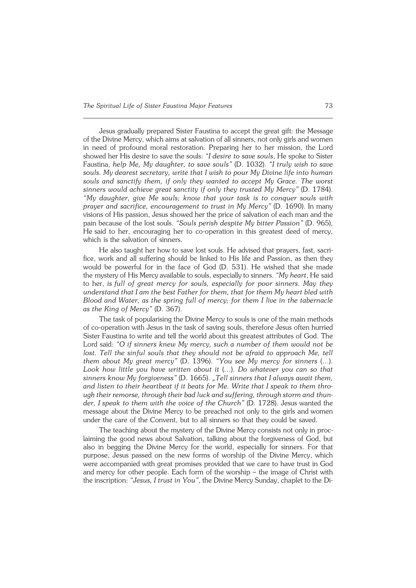Jesus gradually prepared Sister Faustina to accept the great gift: the Message of the Divine Mercy, which aims at salvation of all sinners, not only girls and women in need of profound moral restoration. Preparing her to her mission, the Lord showed her His desire to save the souls: *"I desire to save souls*, He spoke to Sister Faustina, *help Me, My daughter, to save souls"* (D. 1032). *"I truly wish to save souls. My dearest secretary, write that I wish to pour My Divine life into human souls and sanctify them, if only they wanted to accept My Grace. The worst sinners would achieve great sanctity if only they trusted My Mercy"* (D. 1784). *"My daughter, give Me souls; know that your task is to conquer souls with prayer and sacrifice, encouragement to trust in My Mercy"* (D. 1690). In many visions of His passion, Jesus showed her the price of salvation of each man and the pain because of the lost souls. *"Souls perish despite My bitter Passion"* (D. 965), Hesaid to her, encouraging her to co−operation in this greatest deed of mercy, which is the salvation of sinners.

He also taught her how to save lost souls. He advised that prayers, fast, sacri− fice, work and all suffering should be linked to His life and Passion, as then they would be powerful for in the face of God (D. 531). He wished that she made the mystery of His Mercy available to souls, especially to sinners. *"My heart*, He said to her, *isfull of great mercy for souls, especially for poor sinners. May they understand that I am the best Father for them, that for them My heart bled with Blood and Water, as the spring full of mercy; for them I live in the tabernacle asthe King ofMercy"* (D. 367).

The task of popularising the Divine Mercy to souls is one of the main methods of co−operation with Jesus in the task of saving souls, therefore Jesus often hurried Sister Faustina to write and tell the world about this greatest attributes of God. The Lord said: *"O if sinners knew My mercy, such a number of them would not be* lost. Tell the sinful souls that they should not be afraid to approach Me, tell *them about My great mercy"* (D. 1396). *"You see My mercy for sinners* (…). *Look how little you have written about it* (…). *Do whatever you can so that sinners know My forgiveness"* (D. 1665). *"Tell sinners that I always await them,* and listen to their heartbeat if it beats for Me. Write that I speak to them thro− ugh their remorse, through their bad luck and suffering, through storm and thun*der, Ispeak to them with the voice of the Church"* (D. 1728). Jesus wanted the message about the Divine Mercy to be preached not only to the girls andwomen under the care of the Convent, but to all sinners so that they could be saved.

The teaching about the mystery of the Divine Mercy consists not only in proc− laiming the good news about Salvation, talking about the forgiveness of God, but also in begging the Divine Mercy for the world, especially for sinners. For that purpose, Jesus passed on the new forms of worship of the Divine Mercy, which were accompanied with great promises provided that we care to have trust in God and mercy for other people. Each form of the worship – the image of Christ with the inscription: "Jesus, I trust in You", the Divine Mercy Sunday, chaplet to the Di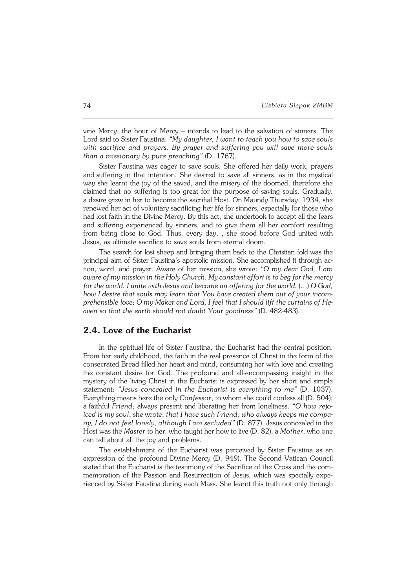vine Mercy, the hour of Mercy – intends to lead to the salvation of sinners. The Lord said to Sister Faustina: *"My daughter, I want to teach you how to save souls with sacrifice and prayers. By prayer and suffering you will save more souls than a missionary by pure preaching"* (D. 1767).

Sister Faustina was eager to save souls. She offered her daily work, prayers and suffering in that intention. She desired to save all sinners, as in the mystical way she learnt the joy of the saved, and the misery of the doomed, therefore she claimed that no suffering is too great for the purpose of saving souls. Gradually, a desire grew in her to become the sacrifial Host. On Maundy Thursday, 1934, she renewed her act of voluntary sacrificing her life for sinners, especially for those who had lost faith in the Divine Mercy. By this act, she undertook to accept all the fears and suffering experienced by sinners, and to give them all her comfort resulting from being close to God. Thus, every day, , she stood before God united with Jesus, as ultimate sacrifice to save souls from eternal doom.

The search for lost sheep and bringing them back to the Christian fold was the principal aim of Sister Faustina's apostolic mission. She accomplished it through ac− tion, word, and prayer. Aware of her mission, she wrote: *"O my dear God, I am aware of my mission in the Holy Church. My constant effort is to beg for the mercy for the world. I unite with Jesus and become an offering for the world.* (…) *O God, how I desire that souls may learn that You have created them out of your incomprehensible love; O my Maker and Lord, I feel that I should lift the curtains of He− aven so that the earth should not doubt Your goodness"* (D. 482−483).

## **2.4. Love of the Eucharist**

In the spiritual life of Sister Faustina, the Eucharist had the central position. From her early childhood, the faith in the real presence of Christ in the form of the consecrated Bread filled her heart and mind, consuming her with love and creating the constant desire for God. The profound and all−encompassing insight in the mystery of the living Christ in the Eucharist is expressed by her short and simple statement: *"Jesus concealed in the Eucharist is everything to me"* (D. 1037). Everything means here the only *Confessor*, to whom she could confess all (D. 504); afaithful *Friend*; always present and liberating her from loneliness. *"O how rejo− iced is my soul*, she wrote, *that I have such Friend, who always keeps me compa− ny, Ido not feel lonely, although I am secluded"* (D. 877). Jesus concealed in the Host was the *Master* to her, who taught her how to live (D. 82), a *Mother*, who one can tell about all the joy and problems.

The establishment of the Eucharist was perceived by Sister Faustina as an expression of the profound Divine Mercy (D. 949). The Second Vatican Council stated that the Eucharist is the testimony of the Sacrifice of the Cross and thecom− memoration of the Passion and Resurrection of Jesus, which was specially expe− rienced by Sister Faustina during each Mass. She learnt this truth not only through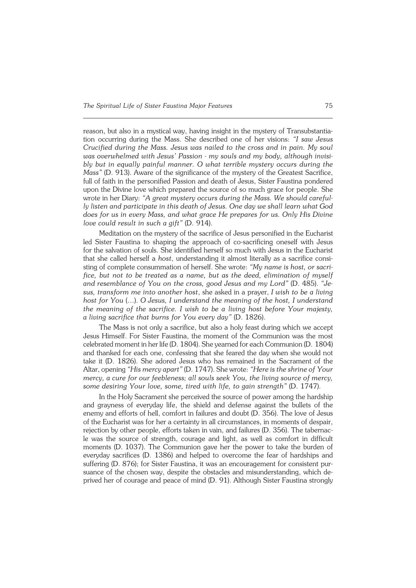reason, but also in a mystical way, having insight in the mystery of Transubstantia− tion occurring during the Mass. She described one of her visions: *"I saw Jesus Crucified during the Mass. Jesus was nailed to the cross and in pain. My soul was overwhelmed with Jesus' Passion − my souls and my body, although invisi− bly but in equally painful manner. O what terrible mystery occurs during the Mass"* (D. 913). Aware of the significance of the mystery of the Greatest Sacrifice, full of faith in the personified Passion and death of Jesus, Sister Faustina pondered upon the Divine love which prepared the source of so much grace for people. She wrote in her Diary: *"A great mystery occurs during the Mass. We should careful− ly listen and participate in this death of Jesus. One day we shall learn what God does for us in every Mass, and what grace He prepares for us. Only His Divine love could result in such agift"* (D. 914).

Meditation on the mystery of the sacrifice of Jesus personified in the Eucharist led Sister Faustina to shaping the approach of co−sacrificing oneself with Jesus for the salvation of souls. She identified herself so much with Jesus in the Eucharist that she called herself a *host*, understanding it almost literally as a sacrifice consi− sting of complete consummation of herself. She wrote: "My name is host, or sacri*fice, but not to be treated as a name, but as the deed, elimination of myself and resemblance of You on the cross, good Jesus and my Lord" (D. 485). "Je− sus, transform me into another host*, she asked in a prayer, *I wish to be a living host for You* (…). *OJesus, I understand the meaning of the host, I understand the meaning of the sacrifice. I wish to be a living host before Your majesty, aliving sacrifice that burns for You every day"* (D. 1826).

The Mass is not only a sacrifice, but also a holy feast during which we accept Jesus Himself. For Sister Faustina, the moment of the Communion was the most celebrated moment in her life (D. 1804). She yearned for each Communion (D.1804) and thanked for each one, confessing that she feared the day when she would not take it (D. 1826). She adored Jesus who has remained in the Sacrament of the Altar, opening *"His mercy apart"* (D. 1747). She wrote: *"Here is the shrine ofYour mercy, a cure for our feebleness; all souls seek You, the living source of mercy, some desiring Your love, some, tired with life, to gain strength"* (D. 1747).

In the Holy Sacrament she perceived the source of power among the hardship and grayness of everyday life, the shield and defense against the bullets of the enemy and efforts of hell, comfort in failures and doubt (D. 356). The love of Jesus of the Eucharist was for her a certainty in all circumstances, in moments of despair, rejection by other people, efforts taken in vain, and failures (D. 356). The tabernac− le was the source of strength, courage and light, as well as comfort in difficult moments (D.1037). The Communion gave her the power to take the burden of everyday sacrifices (D. 1386) and helped to overcome the fear of hardships and suffering (D. 876); for Sister Faustina, it was an encouragement for consistent pursuance of the chosen way, despite the obstacles and misunderstanding, which de− prived her of courage and peace of mind (D. 91). Although Sister Faustina strongly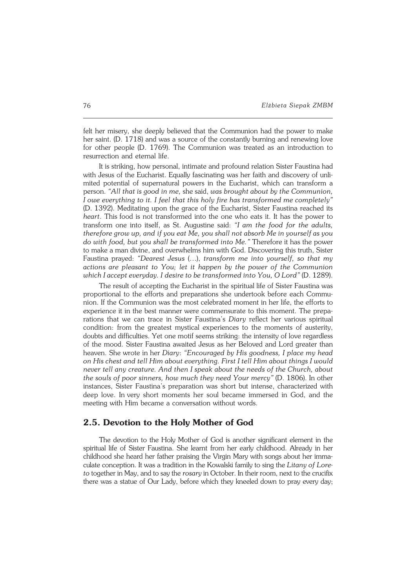felt her misery, she deeply believed that the Communion had the power to make her saint. (D. 1718) and was a source of the constantly burning and renewing love for other people (D. 1769). The Communion was treated as an introduction to resurrection and eternal life.

It is striking, how personal, intimate and profound relation Sister Faustina had with Jesus of the Eucharist. Equally fascinating was her faith and discovery of unli− mited potential of supernatural powers in the Eucharist, which can transform a person. *"All that is good in me,* she said, *was brought about by the Communion, I owe everything to it. I feel that this holy fire has transformed me completely"* (D.1392). Meditating upon the grace of the Eucharist, Sister Faustina reached its *heart*. Thisfood is not transformed into the one who eats it. It has the power to transform one into itself, as St. Augustine said: *"I am the food for the adults, therefore grow up, andif you eat Me, you shall not absorb Me in yourself as you do with food, but you shall be transformed into Me."* Therefore it has the power to make a man divine, and overwhelms him with God. Discovering this truth, Sister Faustina prayed: *"Dearest Jesus* (…), *transform me into yourself, so that my actions are pleasant to You; let it happen by the power of the Communion which I accept everyday. Idesire to be transformed into You, O Lord"* (D. 1289).

The result of accepting the Eucharist in the spiritual life of Sister Faustina was proportional to the efforts and preparations she undertook before each Commu− nion. If the Communion was the most celebrated moment in her life, the efforts to experience it in the best manner were commensurate to this moment. The prepa− rations that we can trace in Sister Faustina's *Diary* reflect her various spiritual condition: from the greatest mystical experiences to the moments of austerity, doubts and difficulties. Yet one motif seems striking: the intensity of love regardless of the mood. Sister Faustina awaited Jesus as her Beloved and Lord greater than heaven. She wrote in her *Diary*: *"Encouraged by His goodness, I place my head on His chest and tell Him about everything. First I tell Him about things I would never tell any creature. And then I speak about the needs of the Church, about the souls ofpoor sinners, how much they need Your mercy"* (D. 1806). In other instances, Sister Faustina's preparation was short but intense, characterized with deep love. Invery short moments her soul became immersed in God, and the meeting with Him became a conversation without words.

### **2.5. Devotion to the Holy Mother of God**

The devotion to the Holy Mother of God is another significant element in the spiritual life of Sister Faustina. She learnt from her early childhood. Already in her childhood she heard her father praising the Virgin Mary with songs about her imma− culate conception. It was a tradition in the Kowalski family to sing the *Litany ofLore− to* together in May, and to say the *rosary* in October. In their room, next to the crucifix there was a statue of Our Lady, before which they kneeled down to pray every day;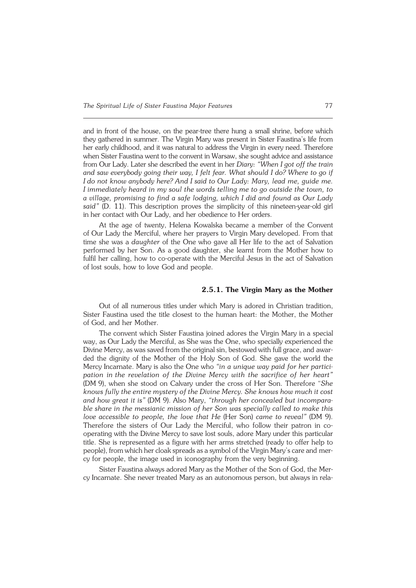and in front of the house, on the pear−tree there hung a small shrine, before which they gathered in summer. The Virgin Mary was present in Sister Faustina's life from her early childhood, and it was natural to address the Virgin in every need. Therefore when Sister Faustina went to the convent in Warsaw, she sought advice and assistance from Our Lady. Later she described the event in her *Diary: "When I got off the train and saw everybody going their way, I felt fear. What should I do? Where to go if Ido not know anybody here? And I said to Our Lady: Mary, lead me, guide me. I immediately heard in my soul the words telling me to go outside the town, to a village, promising to find a safe lodging, which I did and found as Our Lady* said" (D. 11). This description proves the simplicity of this nineteen-year-old girl in her contact with Our Lady, and her obedience to Her orders.

At the age of twenty, Helena Kowalska became a member of the Convent ofOur Lady the Merciful, where her prayers to Virgin Mary developed. From that time she was a *daughter* of the One who gave all Her life to the act of Salvation performed by her Son. As a good daughter, she learnt from the Mother how to fulfil her calling, how to co−operate with the Merciful Jesus in the act of Salvation of lost souls, how to love God and people.

### **2.5.1. The Virgin Mary as the Mother**

Out of all numerous titles under which Mary is adored in Christian tradition, Sister Faustina used the title closest to the human heart: the Mother, the Mother of God, and her Mother.

The convent which Sister Faustina joined adores the Virgin Mary in a special way, as Our Lady the Merciful, as She was the One, who specially experienced the Divine Mercy, as was saved from the original sin, bestowed with full grace, and awar− ded the dignity of the Mother of the Holy Son of God. She gave the world the Mercy Incarnate. Mary is also the One who *"in a unique way paid for her partici− pation inthe revelation of the Divine Mercy with the sacrifice of her heart"* (DM9), when she stood on Calvary under the cross of Her Son. Therefore "*She knows fully the entire mystery of the Divine Mercy. She knows how much it cost* and how great it is" (DM 9). Also Mary, "through her concealed but incompara*ble share in the messianic mission of her Son was specially called to make this love accessible to people, the love that He* (Her Son) *came to reveal"* (DM 9). Therefore the sisters of Our Lady the Merciful, who follow their patron in co− operating with the Divine Mercy to save lost souls, adore Mary under this particular title. She is represented as a figure with her arms stretched (ready to offer help to people), from which her cloak spreads as a symbol of the Virgin Mary's care and mer− cy for people, the image used in iconography from the very beginning.

Sister Faustina always adored Mary as the Mother of the Son of God, the Mer− cy Incarnate. She never treated Mary as an autonomous person, but always inrela−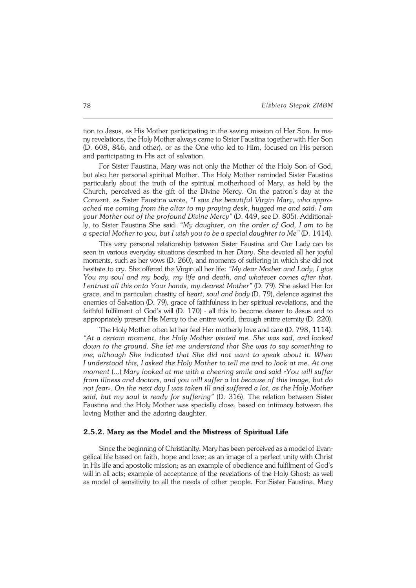tion to Jesus, as His Mother participating in the saving mission of Her Son. Inma− ny revelations, the Holy Mother always came to Sister Faustina together with Her Son (D. 608, 846, and other), or as the One who led to Him, focused on His person and participating in His act of salvation.

For Sister Faustina, Mary was not only the Mother of the Holy Son of God, but also her personal spiritual Mother. The Holy Mother reminded Sister Faustina particularly about the truth of the spiritual motherhood of Mary, as held by the Church, perceived as the gift of the Divine Mercy. On the patron's day at the Convent, as Sister Faustina wrote, *"I saw the beautiful Virgin Mary, who appro− ached me coming from the altar to my praying desk*, *hugged me and said: I am your Mother out of the profound Divine Mercy"* (D. 449, see D. 805). Additional− ly, to Sister Faustina She said: *"My daughter, on the order of God, I am to be aspecial Mother to you, but I wish you to be a special daughter to Me"* (D.1414).

This very personal relationship between Sister Faustina and Our Lady can be seen in various everyday situations described in her *Diary*. She devoted all her joyful moments, such as her vows (D. 260), and moments of suffering in which she did not hesitate to cry. She offered the Virgin all her life: *"My dear Mother and Lady, I give You my soul and my body, my life and death, and whatever comes after that. Ientrust all this onto Your hands, my dearest Mother"* (D. 79). She asked Her for grace, and in particular: chastity of *heart, soul and body* (D. 79), defence against the enemies of Salvation (D. 79), grace of faithfulness in her spiritual revelations, and the faithful fulfilment of God's will (D. 170) − all this to become dearer to Jesus and to appropriately present His Mercy to the entire world, through entire eternity (D. 220).

The Holy Mother often let her feel Her motherly love and care (D. 798,1114). *"At a certain moment, the Holy Mother visited me. She was sad, andlooked down to the ground. She let me understand that She was to say something to me, although She indicated that She did not want to speak about it. When Iunderstood this, I asked the Holy Mother to tell me and to look at me. At one moment* (...) *Mary looked at me with a cheering smile and said «You will suffer from illness and doctors, and you will suffer a lot because of this image, but do not fear». On the next day I was taken ill and suffered a lot, as the Holy Mother said, but my soul is ready for suffering"* (D. 316). The relation between Sister Faustina and the Holy Mother was specially close, based on intimacy between the loving Mother and the adoring daughter.

### **2.5.2. Mary as the Model and the Mistress of Spiritual Life**

Since the beginning of Christianity, Mary has been perceived as a model of Evan− gelical life based on faith, hope and love; as an image of a perfect unity with Christ in His life and apostolic mission; as an example of obedience and fulfilment of God's will in all acts; example of acceptance of the revelations of the Holy Ghost; as well asmodel of sensitivity to all the needs of other people. For Sister Faustina, Mary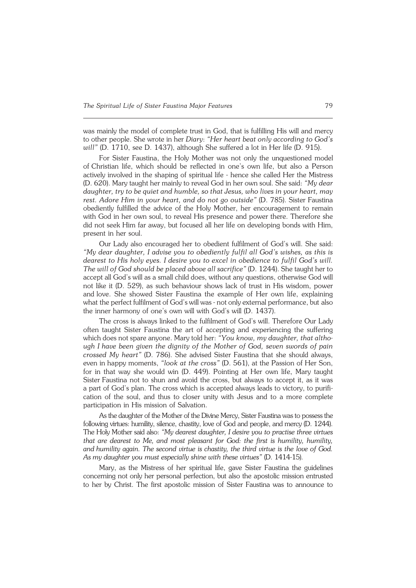was mainly the model of complete trust in God, that is fulfilling His will and mercy to other people. She wrote in her *Diary*: *"Her heart beat only according to God's will"* (D. 1710, see D. 1437), although She suffered a lot in Her life (D. 915).

For Sister Faustina, the Holy Mother was not only the unquestioned model ofChristian life, which should be reflected in one's own life, but also a Person actively involved in the shaping of spiritual life − hence she called Her the Mistress (D. 620). Mary taught her mainly to reveal God in her own soul. She said: *"My dear daughter, try to be quiet and humble, so that Jesus, who lives in your heart, may rest. Adore Him in your heart, and do not go outside"* (D. 785). Sister Faustina obediently fulfilled the advice of the Holy Mother, her encouragement to remain with God in her own soul, to reveal His presence and power there. Therefore she did not seek Him far away, but focused all her life on developing bonds with Him, present in her soul.

Our Lady also encouraged her to obedient fulfilment of God's will. She said: *"My dear daughter, I advise you to obediently fulfil all God's wishes, as this is dearest to His holy eyes. I desire you to excel in obedience to fulfil God's will. The will of God should be placed above all sacrifice"* (D. 1244). She taught her to accept all God's will as a small child does, without any questions, otherwise God will not like it (D. 529), as such behaviour shows lack of trust in His wisdom, power and love. She showed Sister Faustina the example of Her own life, explaining what the perfect fulfilment of God's will was - not only external performance, but also the inner harmony of one's own will with God's will (D. 1437).

The cross is always linked to the fulfilment of God's will. Therefore Our Lady often taught Sister Faustina the art of accepting and experiencing the suffering which does not spare anyone. Mary told her: *"You know, my daughter, that altho− ugh Ihave been given the dignity of the Mother of God, seven swords of pain crossed My heart"* (D. 786). She advised Sister Faustina that she should always, even in happy moments, "look at the cross" (D. 561), at the Passion of Her Son, for in that way she would win (D. 449). Pointing at Her own life, Mary taught Sister Faustina not to shun and avoid the cross, but always to accept it, as it was a part of God's plan. The cross which is accepted always leads to victory, to purifi− cation of the soul, and thus to closer unity with Jesus and to a more complete participation in His mission of Salvation.

As the daughter of the Mother of the Divine Mercy, Sister Faustina was to possess the following virtues: humility, silence, chastity, love of God and people, and mercy (D. 1244). The Holy Mother said also: *"My dearest daughter, I desire you to practise three virtues that are dearest to Me, and most pleasant for God: the first is humility, humility,* and humility again. The second virtue is chastity, the third virtue is the love of God. *Asmy daughter you must especially shine with these virtues"* (D. 1414−15).

Mary, as the Mistress of her spiritual life, gave Sister Faustina the guidelines concerning not only her personal perfection, but also the apostolic mission entrusted to her by Christ. The first apostolic mission of Sister Faustina was to announce to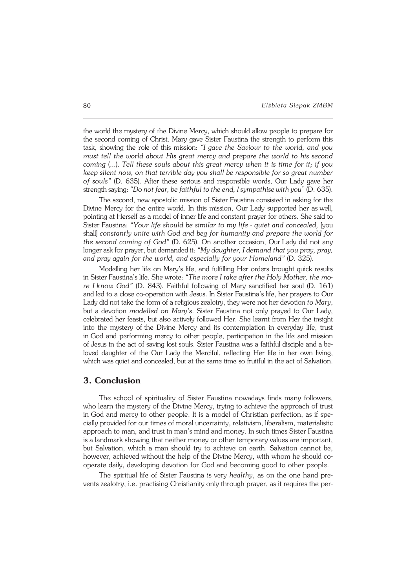theworld the mystery of the Divine Mercy, which should allow people to prepare for the second coming of Christ. Mary gave Sister Faustina the strength to perform this task, showing the role of this mission: *"I gave the Saviour to the world, and you must tell the world about His great mercy and prepare the world to his second coming* (...). *Tell these souls about this great mercy when it is time for it; if you keep silent now, on that terrible day you shall be responsible for so great number of souls"* (D. 635). After these serious and responsible words, Our Lady gave her strength saying: *"Do not fear, be faithful to the end, I sympathise with you*" (D.635).

The second, new apostolic mission of Sister Faustina consisted in asking for the Divine Mercy for the entire world. In this mission, Our Lady supported her aswell, pointing at Herself as a model of inner life and constant prayer for others. She said to Sister Faustina: *"Your life should be similar to my life − quiet and concealed,* [you shall] *constantly unite with God and beg for humanity and prepare the world for the second coming of God"* (D. 625). On another occasion, OurLady did not any longer ask for prayer, but demanded it: *"My daughter, I demand that you pray, pray, and pray again for the world, and especially for your Homeland"* (D. 325).

Modelling her life on Mary's life, and fulfilling Her orders brought quick results inSister Faustina's life. She wrote: *"The more I take after the Holy Mother, themo− re Iknow God"* (D. 843). Faithful following of Mary sanctified her soul (D. 161) andled to a close co−operation with Jesus. In Sister Faustina's life, her prayers to Our Lady did not take the form of a religious zealotry, they were not her devotion *to Mary*, but a devotion *modelled on Mary's*. Sister Faustina not only prayed to Our Lady, celebrated her feasts, but also actively followed Her. She learnt from Her the insight into the mystery of the Divine Mercy and its contemplation in everyday life, trust inGod and performing mercy to other people, participation in the life and mission of Jesus in the act of saving lost souls. Sister Faustina was a faithful disciple and a be− loved daughter of the Our Lady the Merciful, reflecting Her life in her own living, which was quiet and concealed, but at the same time so fruitful in the act of Salvation.

### **3. Conclusion**

The school of spirituality of Sister Faustina nowadays finds many followers, who learn the mystery of the Divine Mercy, trying to achieve the approach of trust inGod and mercy to other people. It is a model of Christian perfection, as if spe− cially provided for our times of moral uncertainty, relativism, liberalism, materialistic approach to man, and trust in man's mind and money. In such times Sister Faustina is a landmark showing that neither money or other temporary values are important, but Salvation, which a man should try to achieve on earth. Salvation cannot be, however, achieved without the help of the Divine Mercy, with whom he should co− operate daily, developing devotion for God and becoming good to other people.

The spiritual life of Sister Faustina is very *healthy*, as on the one hand pre− vents zealotry, i.e. practising Christianity only through prayer, as it requires the per